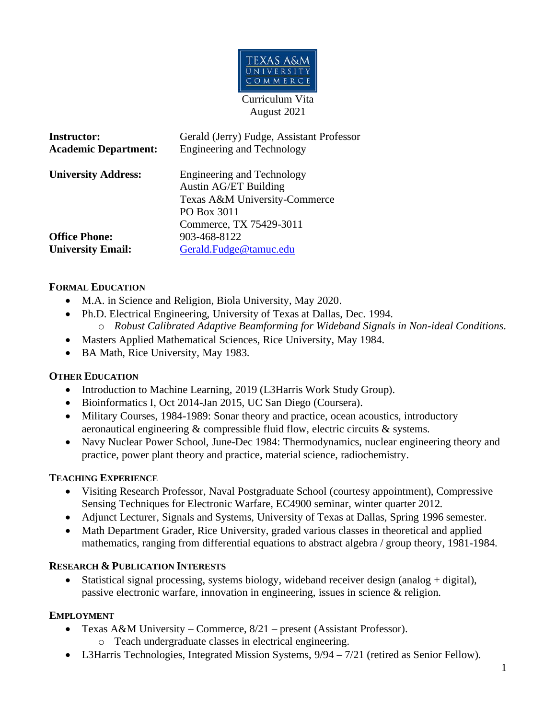

Curriculum Vita August 2021

| <b>Instructor:</b>          | Gerald (Jerry) Fudge, Assistant Professor |
|-----------------------------|-------------------------------------------|
| <b>Academic Department:</b> | <b>Engineering and Technology</b>         |
| <b>University Address:</b>  | <b>Engineering and Technology</b>         |
|                             | <b>Austin AG/ET Building</b>              |
|                             | Texas A&M University-Commerce             |
|                             | PO Box 3011                               |
|                             | Commerce, TX 75429-3011                   |
| <b>Office Phone:</b>        | 903-468-8122                              |
| <b>University Email:</b>    | Gerald.Fudge@tamuc.edu                    |
|                             |                                           |

### **FORMAL EDUCATION**

- M.A. in Science and Religion, Biola University, May 2020.
- Ph.D. Electrical Engineering, University of Texas at Dallas, Dec. 1994. o *Robust Calibrated Adaptive Beamforming for Wideband Signals in Non-ideal Conditions*.
- Masters Applied Mathematical Sciences, Rice University, May 1984.
- BA Math, Rice University, May 1983.

### **OTHER EDUCATION**

- Introduction to Machine Learning, 2019 (L3Harris Work Study Group).
- Bioinformatics I, Oct 2014-Jan 2015, UC San Diego (Coursera).
- Military Courses, 1984-1989: Sonar theory and practice, ocean acoustics, introductory aeronautical engineering & compressible fluid flow, electric circuits & systems.
- Navy Nuclear Power School, June-Dec 1984: Thermodynamics, nuclear engineering theory and practice, power plant theory and practice, material science, radiochemistry.

### **TEACHING EXPERIENCE**

- Visiting Research Professor, Naval Postgraduate School (courtesy appointment), Compressive Sensing Techniques for Electronic Warfare, EC4900 seminar, winter quarter 2012.
- Adjunct Lecturer, Signals and Systems, University of Texas at Dallas, Spring 1996 semester.
- Math Department Grader, Rice University, graded various classes in theoretical and applied mathematics, ranging from differential equations to abstract algebra / group theory, 1981-1984.

### **RESEARCH & PUBLICATION INTERESTS**

• Statistical signal processing, systems biology, wideband receiver design (analog + digital), passive electronic warfare, innovation in engineering, issues in science & religion.

### **EMPLOYMENT**

- Texas A&M University Commerce, 8/21 present (Assistant Professor). o Teach undergraduate classes in electrical engineering.
- L3Harris Technologies, Integrated Mission Systems,  $9/94 7/21$  (retired as Senior Fellow).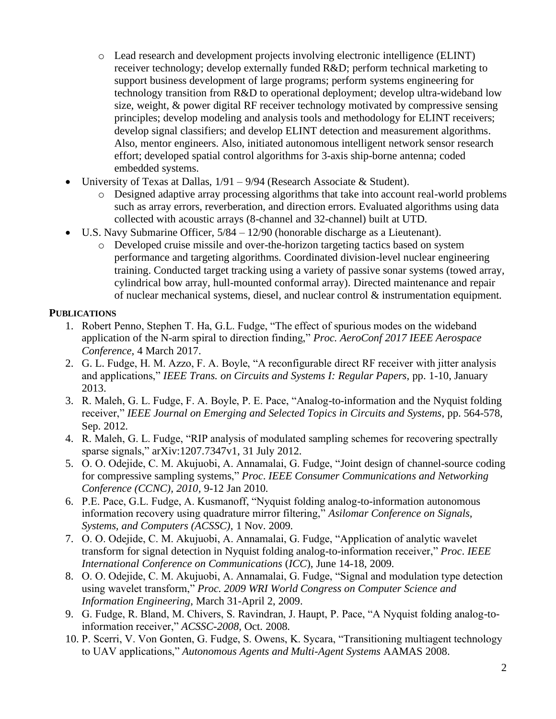- o Lead research and development projects involving electronic intelligence (ELINT) receiver technology; develop externally funded R&D; perform technical marketing to support business development of large programs; perform systems engineering for technology transition from R&D to operational deployment; develop ultra-wideband low size, weight, & power digital RF receiver technology motivated by compressive sensing principles; develop modeling and analysis tools and methodology for ELINT receivers; develop signal classifiers; and develop ELINT detection and measurement algorithms. Also, mentor engineers. Also, initiated autonomous intelligent network sensor research effort; developed spatial control algorithms for 3-axis ship-borne antenna; coded embedded systems.
- University of Texas at Dallas,  $1/91 9/94$  (Research Associate & Student).
	- o Designed adaptive array processing algorithms that take into account real-world problems such as array errors, reverberation, and direction errors. Evaluated algorithms using data collected with acoustic arrays (8-channel and 32-channel) built at UTD.
- U.S. Navy Submarine Officer, 5/84 12/90 (honorable discharge as a Lieutenant).
	- o Developed cruise missile and over-the-horizon targeting tactics based on system performance and targeting algorithms. Coordinated division-level nuclear engineering training. Conducted target tracking using a variety of passive sonar systems (towed array, cylindrical bow array, hull-mounted conformal array). Directed maintenance and repair of nuclear mechanical systems, diesel, and nuclear control & instrumentation equipment.

## **PUBLICATIONS**

- 1. Robert Penno, Stephen T. Ha, G.L. Fudge, "The effect of spurious modes on the wideband application of the N-arm spiral to direction finding," *Proc. AeroConf 2017 IEEE Aerospace Conference*, 4 March 2017.
- 2. G. L. Fudge, H. M. Azzo, F. A. Boyle, "A reconfigurable direct RF receiver with jitter analysis and applications," *IEEE Trans. on Circuits and Systems I: Regular Papers*, pp. 1-10, January 2013.
- 3. R. Maleh, G. L. Fudge, F. A. Boyle, P. E. Pace, "Analog-to-information and the Nyquist folding receiver," *IEEE Journal on Emerging and Selected Topics in Circuits and Systems*, pp. 564-578, Sep. 2012.
- 4. R. Maleh, G. L. Fudge, "RIP analysis of modulated sampling schemes for recovering spectrally sparse signals," arXiv:1207.7347v1, 31 July 2012.
- 5. O. O. Odejide, C. M. Akujuobi, A. Annamalai, G. Fudge, "Joint design of channel-source coding for compressive sampling systems," *Proc*. *IEEE Consumer Communications and Networking Conference (CCNC), 2010,* 9-12 Jan 2010.
- 6. P.E. Pace, G.L. Fudge, A. Kusmanoff, "Nyquist folding analog-to-information autonomous information recovery using quadrature mirror filtering," *Asilomar Conference on Signals, Systems, and Computers (ACSSC),* 1 Nov. 2009.
- 7. O. O. Odejide, C. M. Akujuobi, A. Annamalai, G. Fudge, "Application of analytic wavelet transform for signal detection in Nyquist folding analog-to-information receiver," *Proc*. *IEEE International Conference on Communications* (*ICC*), June 14-18, 2009.
- 8. O. O. Odejide, C. M. Akujuobi, A. Annamalai, G. Fudge, "Signal and modulation type detection using wavelet transform," *Proc. 2009 WRI World Congress on Computer Science and Information Engineering*, March 31-April 2, 2009.
- 9. G. Fudge, R. Bland, M. Chivers, S. Ravindran, J. Haupt, P. Pace, "A Nyquist folding analog-toinformation receiver," *ACSSC-2008,* Oct. 2008.
- 10. P. Scerri, V. Von Gonten, G. Fudge, S. Owens, K. Sycara, "Transitioning multiagent technology to UAV applications," *Autonomous Agents and Multi-Agent Systems* AAMAS 2008.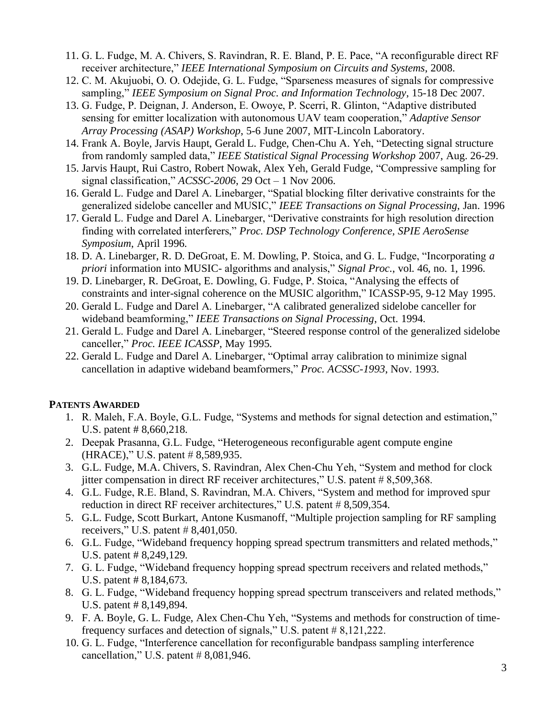- 11. G. L. Fudge, M. A. Chivers, S. Ravindran, R. E. Bland, P. E. Pace, "A reconfigurable direct RF receiver architecture," *IEEE International Symposium on Circuits and Systems*, 2008.
- 12. C. M. Akujuobi, O. O. Odejide, G. L. Fudge, "Sparseness measures of signals for compressive sampling," *IEEE Symposium on Signal Proc. and Information Technology*, 15-18 Dec 2007.
- 13. G. Fudge, P. Deignan, J. Anderson, E. Owoye, P. Scerri, R. Glinton, "Adaptive distributed sensing for emitter localization with autonomous UAV team cooperation," *Adaptive Sensor Array Processing (ASAP) Workshop*, 5-6 June 2007, MIT-Lincoln Laboratory.
- 14. Frank A. Boyle, Jarvis Haupt, Gerald L. Fudge, Chen-Chu A. Yeh, "Detecting signal structure from randomly sampled data," *IEEE Statistical Signal Processing Workshop* 2007, Aug. 26-29.
- 15. Jarvis Haupt, Rui Castro, Robert Nowak, Alex Yeh, Gerald Fudge, "Compressive sampling for signal classification," *ACSSC-2006*, 29 Oct – 1 Nov 2006.
- 16. Gerald L. Fudge and Darel A. Linebarger, "Spatial blocking filter derivative constraints for the generalized sidelobe canceller and MUSIC," *IEEE Transactions on Signal Processing*, Jan. 1996
- 17. Gerald L. Fudge and Darel A. Linebarger, "Derivative constraints for high resolution direction finding with correlated interferers," *Proc. DSP Technology Conference, SPIE AeroSense Symposium*, April 1996.
- 18. D. A. Linebarger, R. D. DeGroat, E. M. Dowling, P. Stoica, and G. L. Fudge, "Incorporating *a priori* information into MUSIC- algorithms and analysis," *Signal Proc.*, vol. 46, no. 1, 1996.
- 19. D. Linebarger, R. DeGroat, E. Dowling, G. Fudge, P. Stoica, "Analysing the effects of constraints and inter-signal coherence on the MUSIC algorithm," ICASSP-95, 9-12 May 1995.
- 20. Gerald L. Fudge and Darel A. Linebarger, "A calibrated generalized sidelobe canceller for wideband beamforming," *IEEE Transactions on Signal Processing*, Oct. 1994.
- 21. Gerald L. Fudge and Darel A. Linebarger, "Steered response control of the generalized sidelobe canceller," *Proc. IEEE ICASSP*, May 1995.
- 22. Gerald L. Fudge and Darel A. Linebarger, "Optimal array calibration to minimize signal cancellation in adaptive wideband beamformers," *Proc. ACSSC-1993*, Nov. 1993.

### **PATENTS AWARDED**

- 1. R. Maleh, F.A. Boyle, G.L. Fudge, "Systems and methods for signal detection and estimation," U.S. patent # 8,660,218.
- 2. Deepak Prasanna, G.L. Fudge, "Heterogeneous reconfigurable agent compute engine (HRACE)," U.S. patent # 8,589,935.
- 3. G.L. Fudge, M.A. Chivers, S. Ravindran, Alex Chen-Chu Yeh, "System and method for clock jitter compensation in direct RF receiver architectures," U.S. patent # 8,509,368.
- 4. G.L. Fudge, R.E. Bland, S. Ravindran, M.A. Chivers, "System and method for improved spur reduction in direct RF receiver architectures," U.S. patent # 8,509,354.
- 5. G.L. Fudge, Scott Burkart, Antone Kusmanoff, "Multiple projection sampling for RF sampling receivers," U.S. patent  $\# 8,401,050$ .
- 6. G.L. Fudge, "Wideband frequency hopping spread spectrum transmitters and related methods," U.S. patent # 8,249,129.
- 7. G. L. Fudge, "Wideband frequency hopping spread spectrum receivers and related methods," U.S. patent # 8,184,673.
- 8. G. L. Fudge, "Wideband frequency hopping spread spectrum transceivers and related methods," U.S. patent # 8,149,894.
- 9. F. A. Boyle, G. L. Fudge, Alex Chen-Chu Yeh, "Systems and methods for construction of timefrequency surfaces and detection of signals," U.S. patent # 8,121,222.
- 10. G. L. Fudge, "Interference cancellation for reconfigurable bandpass sampling interference cancellation," U.S. patent  $# 8,081,946$ .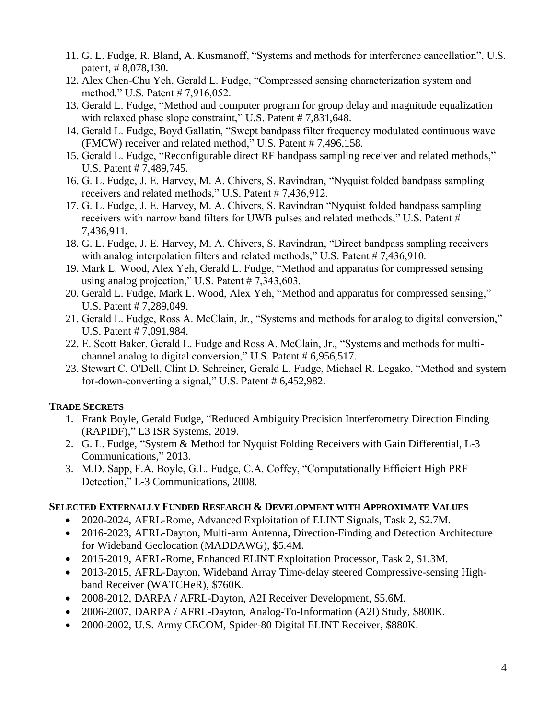- 11. G. L. Fudge, R. Bland, A. Kusmanoff, "Systems and methods for interference cancellation", U.S. patent, # 8,078,130.
- 12. Alex Chen-Chu Yeh, Gerald L. Fudge, "Compressed sensing characterization system and method," U.S. Patent # 7,916,052.
- 13. Gerald L. Fudge, "Method and computer program for group delay and magnitude equalization with relaxed phase slope constraint," U.S. Patent # 7,831,648.
- 14. Gerald L. Fudge, Boyd Gallatin, "Swept bandpass filter frequency modulated continuous wave (FMCW) receiver and related method," U.S. Patent # 7,496,158.
- 15. Gerald L. Fudge, "Reconfigurable direct RF bandpass sampling receiver and related methods," U.S. Patent # 7,489,745.
- 16. G. L. Fudge, J. E. Harvey, M. A. Chivers, S. Ravindran, "Nyquist folded bandpass sampling receivers and related methods," U.S. Patent # 7,436,912.
- 17. G. L. Fudge, J. E. Harvey, M. A. Chivers, S. Ravindran "Nyquist folded bandpass sampling receivers with narrow band filters for UWB pulses and related methods," U.S. Patent # 7,436,911.
- 18. G. L. Fudge, J. E. Harvey, M. A. Chivers, S. Ravindran, "Direct bandpass sampling receivers with analog interpolation filters and related methods," U.S. Patent  $# 7.436.910$ .
- 19. Mark L. Wood, Alex Yeh, Gerald L. Fudge, "Method and apparatus for compressed sensing using analog projection," U.S. Patent # 7,343,603.
- 20. Gerald L. Fudge, Mark L. Wood, Alex Yeh, "Method and apparatus for compressed sensing," U.S. Patent # 7,289,049.
- 21. Gerald L. Fudge, Ross A. McClain, Jr., "Systems and methods for analog to digital conversion," U.S. Patent # 7,091,984.
- 22. E. Scott Baker, Gerald L. Fudge and Ross A. McClain, Jr., "Systems and methods for multichannel analog to digital conversion," U.S. Patent # 6,956,517.
- 23. Stewart C. O'Dell, Clint D. Schreiner, Gerald L. Fudge, Michael R. Legako, "Method and system for-down-converting a signal," U.S. Patent # 6,452,982.

## **TRADE SECRETS**

- 1. Frank Boyle, Gerald Fudge, "Reduced Ambiguity Precision Interferometry Direction Finding (RAPIDF)," L3 ISR Systems, 2019.
- 2. G. L. Fudge, "System & Method for Nyquist Folding Receivers with Gain Differential, L-3 Communications," 2013.
- 3. M.D. Sapp, F.A. Boyle, G.L. Fudge, C.A. Coffey, "Computationally Efficient High PRF Detection," L-3 Communications, 2008.

### **SELECTED EXTERNALLY FUNDED RESEARCH & DEVELOPMENT WITH APPROXIMATE VALUES**

- 2020-2024, AFRL-Rome, Advanced Exploitation of ELINT Signals, Task 2, \$2.7M.
- 2016-2023, AFRL-Dayton, Multi-arm Antenna, Direction-Finding and Detection Architecture for Wideband Geolocation (MADDAWG), \$5.4M.
- 2015-2019, AFRL-Rome, Enhanced ELINT Exploitation Processor, Task 2, \$1.3M.
- 2013-2015, AFRL-Dayton, Wideband Array Time-delay steered Compressive-sensing Highband Receiver (WATCHeR), \$760K.
- 2008-2012, DARPA / AFRL-Dayton, A2I Receiver Development, \$5.6M.
- 2006-2007, DARPA / AFRL-Dayton, Analog-To-Information (A2I) Study, \$800K.
- 2000-2002, U.S. Army CECOM, Spider-80 Digital ELINT Receiver, \$880K.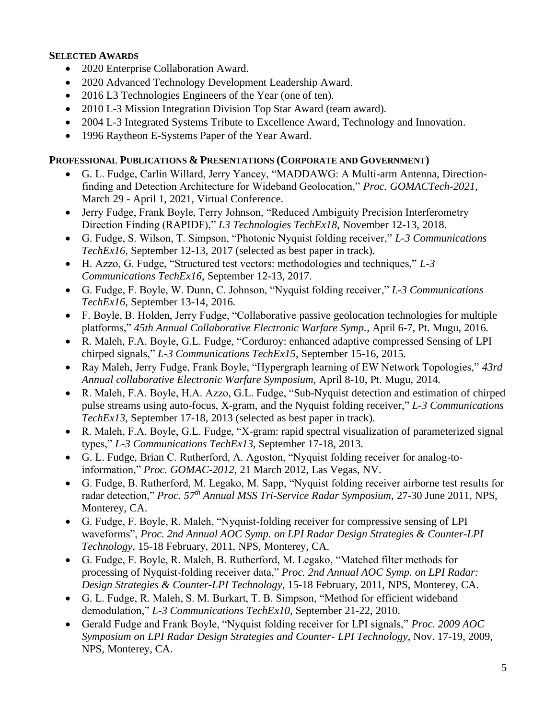### **SELECTED AWARDS**

- 2020 Enterprise Collaboration Award.
- 2020 Advanced Technology Development Leadership Award.
- 2016 L3 Technologies Engineers of the Year (one of ten).
- 2010 L-3 Mission Integration Division Top Star Award (team award).
- 2004 L-3 Integrated Systems Tribute to Excellence Award, Technology and Innovation.
- 1996 Raytheon E-Systems Paper of the Year Award.

## **PROFESSIONAL PUBLICATIONS & PRESENTATIONS (CORPORATE AND GOVERNMENT)**

- G. L. Fudge, Carlin Willard, Jerry Yancey, "MADDAWG: A Multi-arm Antenna, Directionfinding and Detection Architecture for Wideband Geolocation," *Proc. GOMACTech-2021*, March 29 - April 1, 2021, Virtual Conference.
- Jerry Fudge, Frank Boyle, Terry Johnson, "Reduced Ambiguity Precision Interferometry Direction Finding (RAPIDF)," *L3 Technologies TechEx18*, November 12-13, 2018.
- G. Fudge, S. Wilson, T. Simpson, "Photonic Nyquist folding receiver," *L-3 Communications TechEx16*, September 12-13, 2017 (selected as best paper in track).
- H. Azzo, G. Fudge, "Structured test vectors: methodologies and techniques," *L-3 Communications TechEx16*, September 12-13, 2017.
- G. Fudge, F. Boyle, W. Dunn, C. Johnson, "Nyquist folding receiver," *L-3 Communications TechEx16*, September 13-14, 2016.
- F. Boyle, B. Holden, Jerry Fudge, "Collaborative passive geolocation technologies for multiple platforms," *45th Annual Collaborative Electronic Warfare Symp.*, April 6-7, Pt. Mugu, 2016.
- R. Maleh, F.A. Boyle, G.L. Fudge, "Corduroy: enhanced adaptive compressed Sensing of LPI chirped signals," *L-3 Communications TechEx15*, September 15-16, 2015.
- Ray Maleh, Jerry Fudge, Frank Boyle, "Hypergraph learning of EW Network Topologies," *43rd Annual collaborative Electronic Warfare Symposium*, April 8-10, Pt. Mugu, 2014.
- R. Maleh, F.A. Boyle, H.A. Azzo, G.L. Fudge, "Sub-Nyquist detection and estimation of chirped pulse streams using auto-focus, X-gram, and the Nyquist folding receiver," *L-3 Communications TechEx13*, September 17-18, 2013 (selected as best paper in track).
- R. Maleh, F.A. Boyle, G.L. Fudge, "X-gram: rapid spectral visualization of parameterized signal types," *L-3 Communications TechEx13*, September 17-18, 2013.
- G. L. Fudge, Brian C. Rutherford, A. Agoston, "Nyquist folding receiver for analog-toinformation," *Proc. GOMAC*-*2012*, 21 March 2012, Las Vegas, NV.
- G. Fudge, B. Rutherford, M. Legako, M. Sapp, "Nyquist folding receiver airborne test results for radar detection," *Proc. 57th Annual MSS Tri-Service Radar Symposium*, 27-30 June 2011, NPS, Monterey, CA.
- G. Fudge, F. Boyle, R. Maleh, "Nyquist-folding receiver for compressive sensing of LPI waveforms", *Proc. 2nd Annual AOC Symp. on LPI Radar Design Strategies & Counter-LPI Technology*, 15-18 February, 2011, NPS, Monterey, CA.
- G. Fudge, F. Boyle, R. Maleh, B. Rutherford, M. Legako, "Matched filter methods for processing of Nyquist-folding receiver data," *Proc. 2nd Annual AOC Symp. on LPI Radar: Design Strategies & Counter-LPI Technology*, 15-18 February, 2011, NPS, Monterey, CA.
- G. L. Fudge, R. Maleh, S. M. Burkart, T. B. Simpson, "Method for efficient wideband demodulation," *L-3 Communications TechEx10*, September 21-22, 2010.
- Gerald Fudge and Frank Boyle, "Nyquist folding receiver for LPI signals," *Proc. 2009 AOC Symposium on LPI Radar Design Strategies and Counter- LPI Technology*, Nov. 17-19, 2009, NPS, Monterey, CA.